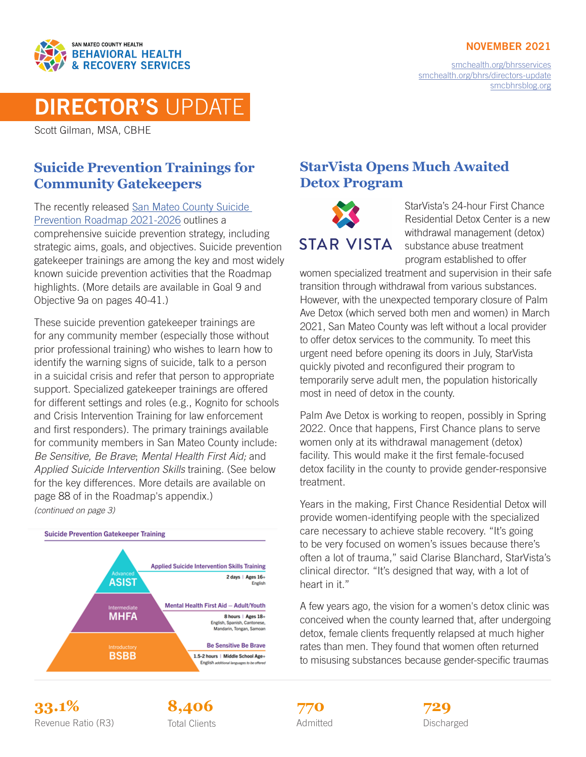

#### NOVEMBER 2021

[smchealth.org/bhrsservices](https://www.smchealth.org/bhrsservices) [smchealth.org/bhrs/directors-update](https://www.smchealth.org/bhrs/directors-update) [smcbhrsblog.org](http://www.smcbhrsblog.org)

# DIRECTOR'S UPDATE

Scott Gilman, MSA, CBHE

#### **Suicide Prevention Trainings for Community Gatekeepers**

The recently released [San Mateo County Suicide](https://www.smchealth.org/sites/main/files/file-attachments/suicide_prevention_roadmap_2021-2026.pdf?1633048383)  [Prevention Roadmap 2021-2026](https://www.smchealth.org/sites/main/files/file-attachments/suicide_prevention_roadmap_2021-2026.pdf?1633048383) outlines a comprehensive suicide prevention strategy, including strategic aims, goals, and objectives. Suicide prevention gatekeeper trainings are among the key and most widely known suicide prevention activities that the Roadmap highlights. (More details are available in Goal 9 and Objective 9a on pages 40-41.)

These suicide prevention gatekeeper trainings are for any community member (especially those without prior professional training) who wishes to learn how to identify the warning signs of suicide, talk to a person in a suicidal crisis and refer that person to appropriate support. Specialized gatekeeper trainings are offered for different settings and roles (e.g., Kognito for schools and Crisis Intervention Training for law enforcement and first responders). The primary trainings available for community members in San Mateo County include: *Be Sensitive, Be Brave*; *Mental Health First Aid;* and *Applied Suicide Intervention Skills* training. (See below for the key differences. More details are available on page 88 of in the Roadmap's appendix.) *(continued on page 3)*



### **StarVista Opens Much Awaited Detox Program**



StarVista's 24-hour First Chance Residential Detox Center is a new withdrawal management (detox) substance abuse treatment program established to offer

women specialized treatment and supervision in their safe transition through withdrawal from various substances. However, with the unexpected temporary closure of Palm Ave Detox (which served both men and women) in March 2021, San Mateo County was left without a local provider to offer detox services to the community. To meet this urgent need before opening its doors in July, StarVista quickly pivoted and reconfigured their program to temporarily serve adult men, the population historically most in need of detox in the county.

Palm Ave Detox is working to reopen, possibly in Spring 2022. Once that happens, First Chance plans to serve women only at its withdrawal management (detox) facility. This would make it the first female-focused detox facility in the county to provide gender-responsive treatment.

Years in the making, First Chance Residential Detox will provide women-identifying people with the specialized care necessary to achieve stable recovery. "It's going to be very focused on women's issues because there's often a lot of trauma," said Clarise Blanchard, StarVista's clinical director. "It's designed that way, with a lot of heart in it."

A few years ago, the vision for a women's detox clinic was conceived when the county learned that, after undergoing detox, female clients frequently relapsed at much higher rates than men. They found that women often returned to misusing substances because gender-specific traumas

**33.1% 8,406 729** Revenue Ratio (R3) Total Clients **Constructs** Admitted **Discharged** Discharged





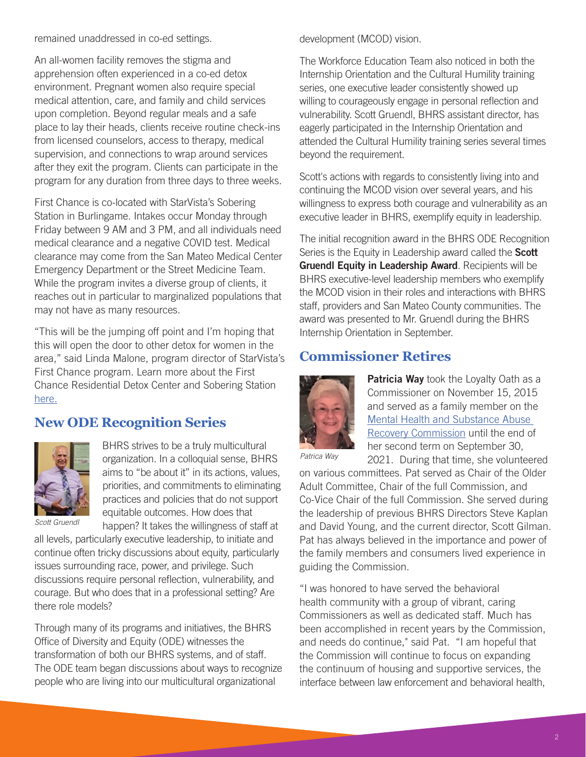remained unaddressed in co-ed settings.

An all-women facility removes the stigma and apprehension often experienced in a co-ed detox environment. Pregnant women also require special medical attention, care, and family and child services upon completion. Beyond regular meals and a safe place to lay their heads, clients receive routine check-ins from licensed counselors, access to therapy, medical supervision, and connections to wrap around services after they exit the program. Clients can participate in the program for any duration from three days to three weeks.

First Chance is co-located with StarVista's Sobering Station in Burlingame. Intakes occur Monday through Friday between 9 AM and 3 PM, and all individuals need medical clearance and a negative COVID test. Medical clearance may come from the San Mateo Medical Center Emergency Department or the Street Medicine Team. While the program invites a diverse group of clients, it reaches out in particular to marginalized populations that may not have as many resources.

"This will be the jumping off point and I'm hoping that this will open the door to other detox for women in the area," said Linda Malone, program director of StarVista's First Chance program. Learn more about the First Chance Residential Detox Center and Sobering Station [here.](https://star-vista.org/programs/first-chance/)

#### **New ODE Recognition Series**



BHRS strives to be a truly multicultural organization. In a colloquial sense, BHRS aims to "be about it" in its actions, values, priorities, and commitments to eliminating practices and policies that do not support equitable outcomes. How does that happen? It takes the willingness of staff at

*Scott Gruendl*

all levels, particularly executive leadership, to initiate and continue often tricky discussions about equity, particularly issues surrounding race, power, and privilege. Such discussions require personal reflection, vulnerability, and courage. But who does that in a professional setting? Are there role models?

Through many of its programs and initiatives, the BHRS Office of Diversity and Equity (ODE) witnesses the transformation of both our BHRS systems, and of staff. The ODE team began discussions about ways to recognize people who are living into our multicultural organizational

development (MCOD) vision.

The Workforce Education Team also noticed in both the Internship Orientation and the Cultural Humility training series, one executive leader consistently showed up willing to courageously engage in personal reflection and vulnerability. Scott Gruendl, BHRS assistant director, has eagerly participated in the Internship Orientation and attended the Cultural Humility training series several times beyond the requirement.

Scott's actions with regards to consistently living into and continuing the MCOD vision over several years, and his willingness to express both courage and vulnerability as an executive leader in BHRS, exemplify equity in leadership.

The initial recognition award in the BHRS ODE Recognition Series is the Equity in Leadership award called the Scott Gruendl Equity in Leadership Award. Recipients will be BHRS executive-level leadership members who exemplify the MCOD vision in their roles and interactions with BHRS staff, providers and San Mateo County communities. The award was presented to Mr. Gruendl during the BHRS Internship Orientation in September.

#### **Commissioner Retires**



Patricia Way took the Loyalty Oath as a Commissioner on November 15, 2015 and served as a family member on the [Mental Health and Substance Abuse](https://www.smchealth.org/mhsarc)  [Recovery Commission](https://www.smchealth.org/mhsarc) until the end of her second term on September 30, 2021. During that time, she volunteered

*Patrica Way*

on various committees. Pat served as Chair of the Older Adult Committee, Chair of the full Commission, and Co-Vice Chair of the full Commission. She served during the leadership of previous BHRS Directors Steve Kaplan and David Young, and the current director, Scott Gilman. Pat has always believed in the importance and power of the family members and consumers lived experience in guiding the Commission.

"I was honored to have served the behavioral health community with a group of vibrant, caring Commissioners as well as dedicated staff. Much has been accomplished in recent years by the Commission, and needs do continue," said Pat. "I am hopeful that the Commission will continue to focus on expanding the continuum of housing and supportive services, the interface between law enforcement and behavioral health,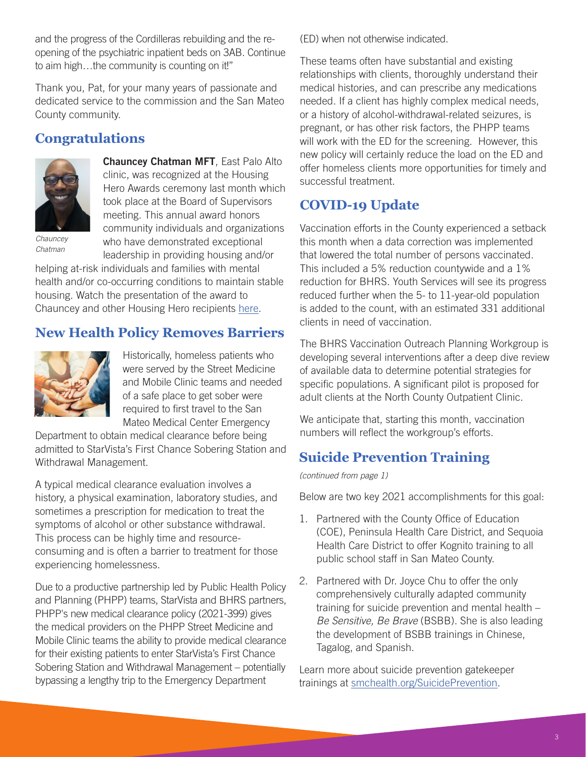and the progress of the Cordilleras rebuilding and the reopening of the psychiatric inpatient beds on 3AB. Continue to aim high…the community is counting on it!"

Thank you, Pat, for your many years of passionate and dedicated service to the commission and the San Mateo County community.

# **Congratulations**



Chauncey Chatman MFT, East Palo Alto clinic, was recognized at the Housing Hero Awards ceremony last month which took place at the Board of Supervisors meeting. This annual award honors community individuals and organizations who have demonstrated exceptional

*Chauncey Chatman*

leadership in providing housing and/or helping at-risk individuals and families with mental health and/or co-occurring conditions to maintain stable housing. Watch the presentation of the award to Chauncey and other Housing Hero recipients [here](https://smcgov-my.sharepoint.com/personal/leharrison_smcgov_org/_layouts/15/onedrive.aspx?id=%2Fpersonal%2Fleharrison%5Fsmcgov%5Forg%2FDocuments%2FHousing%20Heroes%20Final%20Presentation%202021%2F14th%20Housing%20Hero%20Awards%2EMOV&parent=%2Fpersonal%2Fleharrison%5Fsmcgov%5Forg%2FDocuments%2FHousing%20Heroes%20Final%20Presentation%202021&ct=1635359819300&or=OWA%2DNT&cid=9b2fadf1%2D08bf%2D2836%2Dcb57%2D8b05269e878b&originalPath=aHR0cHM6Ly9zbWNnb3YtbXkuc2hhcmVwb2ludC5jb20vOnY6L2cvcGVyc29uYWwvbGVoYXJyaXNvbl9zbWNnb3Zfb3JnL0VjMXNpYWdUWF85UHRpXzhHdlpqNnh3QkhWTTJLbzZqaUVZYVNKdjR2Yno4c0E%5FcnRpbWU9N01HZHdYaVoyVWc ).

# **New Health Policy Removes Barriers**



Historically, homeless patients who were served by the Street Medicine and Mobile Clinic teams and needed of a safe place to get sober were required to first travel to the San Mateo Medical Center Emergency

Department to obtain medical clearance before being admitted to StarVista's First Chance Sobering Station and Withdrawal Management.

A typical medical clearance evaluation involves a history, a physical examination, laboratory studies, and sometimes a prescription for medication to treat the symptoms of alcohol or other substance withdrawal. This process can be highly time and resourceconsuming and is often a barrier to treatment for those experiencing homelessness.

Due to a productive partnership led by Public Health Policy and Planning (PHPP) teams, StarVista and BHRS partners, PHPP's new medical clearance policy (2021-399) gives the medical providers on the PHPP Street Medicine and Mobile Clinic teams the ability to provide medical clearance for their existing patients to enter StarVista's First Chance Sobering Station and Withdrawal Management – potentially bypassing a lengthy trip to the Emergency Department

(ED) when not otherwise indicated.

These teams often have substantial and existing relationships with clients, thoroughly understand their medical histories, and can prescribe any medications needed. If a client has highly complex medical needs, or a history of alcohol-withdrawal-related seizures, is pregnant, or has other risk factors, the PHPP teams will work with the ED for the screening. However, this new policy will certainly reduce the load on the ED and offer homeless clients more opportunities for timely and successful treatment.

# **COVID-19 Update**

Vaccination efforts in the County experienced a setback this month when a data correction was implemented that lowered the total number of persons vaccinated. This included a 5% reduction countywide and a 1% reduction for BHRS. Youth Services will see its progress reduced further when the 5- to 11-year-old population is added to the count, with an estimated 331 additional clients in need of vaccination.

The BHRS Vaccination Outreach Planning Workgroup is developing several interventions after a deep dive review of available data to determine potential strategies for specific populations. A significant pilot is proposed for adult clients at the North County Outpatient Clinic.

We anticipate that, starting this month, vaccination numbers will reflect the workgroup's efforts.

# **Suicide Prevention Training**

*(continued from page 1)*

Below are two key 2021 accomplishments for this goal:

- 1. Partnered with the County Office of Education (COE), Peninsula Health Care District, and Sequoia Health Care District to offer Kognito training to all public school staff in San Mateo County.
- 2. Partnered with Dr. Joyce Chu to offer the only comprehensively culturally adapted community training for suicide prevention and mental health – *Be Sensitive, Be Brave* (BSBB). She is also leading the development of BSBB trainings in Chinese, Tagalog, and Spanish.

Learn more about suicide prevention gatekeeper trainings at [smchealth.org/SuicidePrevention.](http://smchealth.org/SuicidePrevention)